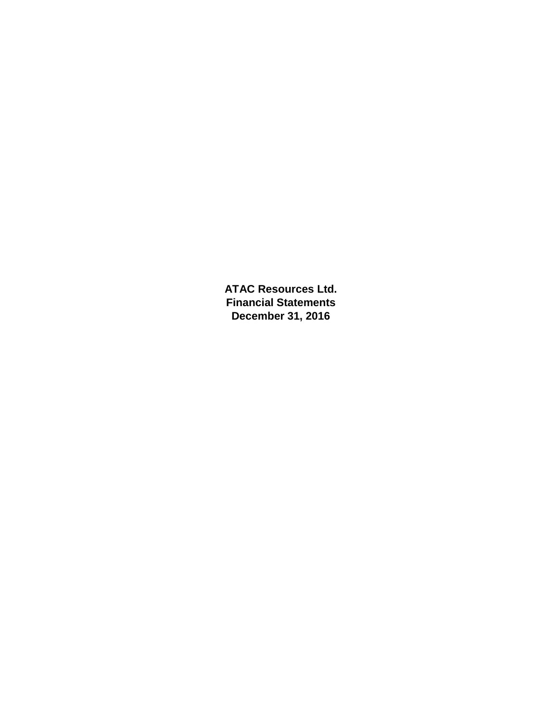**ATAC Resources Ltd. Financial Statements December 31, 2016**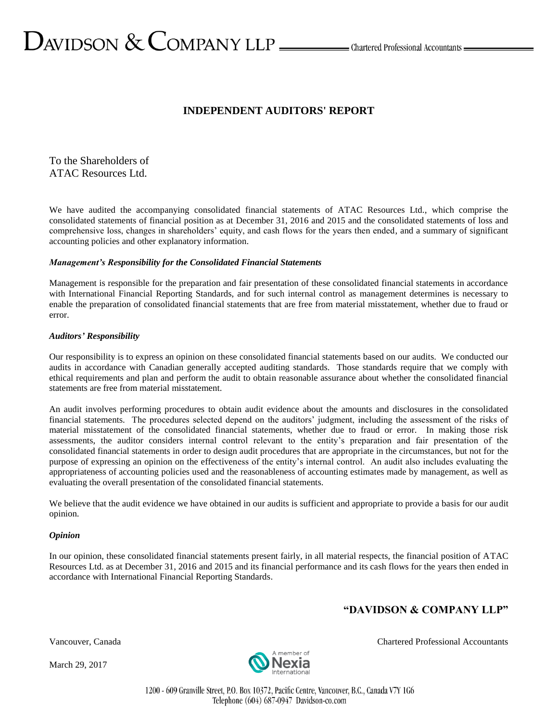# $\sum$ AVIDSON  $\&$  COMPANY LLP  $\_\_\_\_\$ Chartered Professional Accountants  $\_\_\_\$

# **INDEPENDENT AUDITORS' REPORT**

To the Shareholders of ATAC Resources Ltd.

We have audited the accompanying consolidated financial statements of ATAC Resources Ltd., which comprise the consolidated statements of financial position as at December 31, 2016 and 2015 and the consolidated statements of loss and comprehensive loss, changes in shareholders' equity, and cash flows for the years then ended, and a summary of significant accounting policies and other explanatory information.

# *Management's Responsibility for the Consolidated Financial Statements*

Management is responsible for the preparation and fair presentation of these consolidated financial statements in accordance with International Financial Reporting Standards, and for such internal control as management determines is necessary to enable the preparation of consolidated financial statements that are free from material misstatement, whether due to fraud or error.

# *Auditors' Responsibility*

Our responsibility is to express an opinion on these consolidated financial statements based on our audits. We conducted our audits in accordance with Canadian generally accepted auditing standards. Those standards require that we comply with ethical requirements and plan and perform the audit to obtain reasonable assurance about whether the consolidated financial statements are free from material misstatement.

An audit involves performing procedures to obtain audit evidence about the amounts and disclosures in the consolidated financial statements. The procedures selected depend on the auditors' judgment, including the assessment of the risks of material misstatement of the consolidated financial statements, whether due to fraud or error. In making those risk assessments, the auditor considers internal control relevant to the entity's preparation and fair presentation of the consolidated financial statements in order to design audit procedures that are appropriate in the circumstances, but not for the purpose of expressing an opinion on the effectiveness of the entity's internal control. An audit also includes evaluating the appropriateness of accounting policies used and the reasonableness of accounting estimates made by management, as well as evaluating the overall presentation of the consolidated financial statements.

We believe that the audit evidence we have obtained in our audits is sufficient and appropriate to provide a basis for our audit opinion.

## *Opinion*

In our opinion, these consolidated financial statements present fairly, in all material respects, the financial position of ATAC Resources Ltd. as at December 31, 2016 and 2015 and its financial performance and its cash flows for the years then ended in accordance with International Financial Reporting Standards.

# **"DAVIDSON & COMPANY LLP"**

March 29, 2017



Vancouver, Canada Chartered Professional Accountants

1200 - 609 Granville Street, P.O. Box 10372, Pacific Centre, Vancouver, B.C., Canada V7Y 1G6 Telephone (604) 687-0947 Davidson-co.com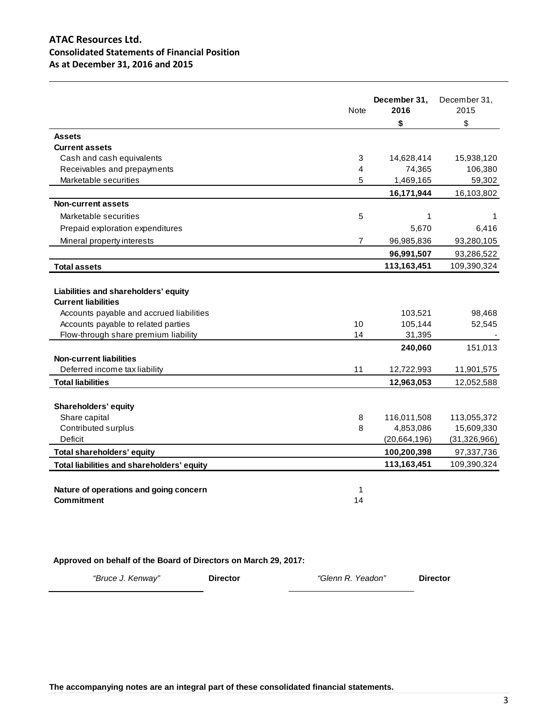# **ATAC Resources Ltd. Consolidated Statements of Financial Position As at December 31, 2016 and 2015**

|                                                                                                                                                                                               | <b>Note</b>    | December 31,<br>2016<br>\$   | December 31,<br>2015<br>\$ |
|-----------------------------------------------------------------------------------------------------------------------------------------------------------------------------------------------|----------------|------------------------------|----------------------------|
| <b>Assets</b>                                                                                                                                                                                 |                |                              |                            |
| <b>Current assets</b>                                                                                                                                                                         |                |                              |                            |
| Cash and cash equivalents                                                                                                                                                                     | 3              | 14,628,414                   | 15,938,120                 |
| Receivables and prepayments                                                                                                                                                                   | 4              | 74,365                       | 106,380                    |
| Marketable securities                                                                                                                                                                         | 5              | 1,469,165                    | 59,302                     |
|                                                                                                                                                                                               |                | 16,171,944                   | 16,103,802                 |
| <b>Non-current assets</b>                                                                                                                                                                     |                |                              |                            |
| Marketable securities                                                                                                                                                                         | 5              | 1                            | 1                          |
| Prepaid exploration expenditures                                                                                                                                                              |                | 5,670                        | 6,416                      |
| Mineral property interests                                                                                                                                                                    | $\overline{7}$ | 96,985,836                   | 93,280,105                 |
|                                                                                                                                                                                               |                | 96,991,507                   | 93,286,522                 |
| <b>Total assets</b>                                                                                                                                                                           |                | 113,163,451                  | 109,390,324                |
| Liabilities and shareholders' equity<br><b>Current liabilities</b><br>Accounts payable and accrued liabilities<br>Accounts payable to related parties<br>Flow-through share premium liability | 10<br>14       | 103,521<br>105,144<br>31,395 | 98,468<br>52,545           |
|                                                                                                                                                                                               |                | 240,060                      | 151,013                    |
| <b>Non-current liabilities</b>                                                                                                                                                                |                |                              |                            |
| Deferred income tax liability                                                                                                                                                                 | 11             | 12,722,993                   | 11,901,575                 |
| <b>Total liabilities</b>                                                                                                                                                                      |                | 12,963,053                   | 12,052,588                 |
| <b>Shareholders' equity</b>                                                                                                                                                                   |                |                              |                            |
| Share capital                                                                                                                                                                                 | 8              | 116,011,508                  | 113,055,372                |
| Contributed surplus                                                                                                                                                                           | 8              | 4,853,086                    | 15,609,330                 |
| <b>Deficit</b>                                                                                                                                                                                |                | (20,664,196)                 | (31, 326, 966)             |
| <b>Total shareholders' equity</b>                                                                                                                                                             |                | 100,200,398                  | 97,337,736                 |
| Total liabilities and shareholders' equity                                                                                                                                                    |                | 113,163,451                  | 109,390,324                |
| Nature of operations and going concern<br><b>Commitment</b>                                                                                                                                   | 1<br>14        |                              |                            |
|                                                                                                                                                                                               |                |                              |                            |

# **Approved on behalf of the Board of Directors on March 29, 2017:**

*"Bruce J. Kenway"* **Director** *"Glenn R. Yeadon"* **Director**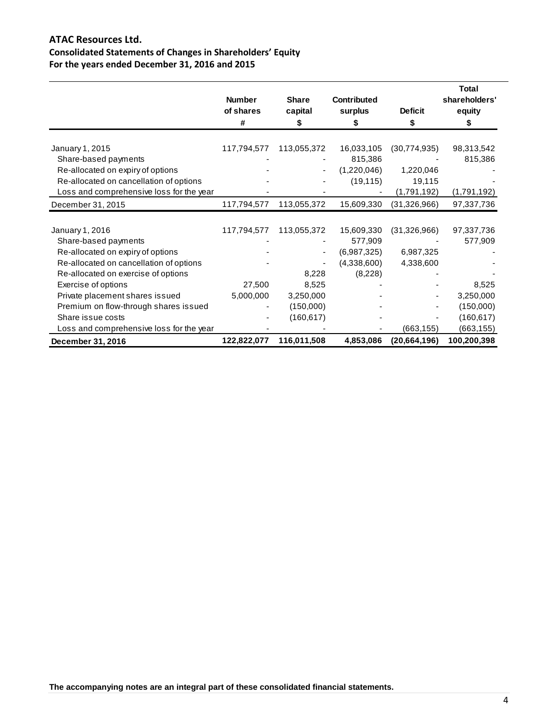# **ATAC Resources Ltd. Consolidated Statements of Changes in Shareholders' Equity For the years ended December 31, 2016 and 2015**

|                                          | <b>Number</b><br>of shares<br># | <b>Share</b><br>capital  | <b>Contributed</b><br>surplus | <b>Deficit</b><br>\$ | <b>Total</b><br>shareholders'<br>equity<br>S |
|------------------------------------------|---------------------------------|--------------------------|-------------------------------|----------------------|----------------------------------------------|
| January 1, 2015                          | 117,794,577                     | 113,055,372              | 16,033,105                    | (30, 774, 935)       | 98,313,542                                   |
| Share-based payments                     |                                 |                          | 815,386                       |                      | 815,386                                      |
| Re-allocated on expiry of options        |                                 | ٠                        | (1,220,046)                   | 1,220,046            |                                              |
| Re-allocated on cancellation of options  |                                 |                          | (19, 115)                     | 19,115               |                                              |
| Loss and comprehensive loss for the year |                                 |                          |                               | (1,791,192)          | (1,791,192)                                  |
| December 31, 2015                        | 117,794,577                     | 113,055,372              | 15,609,330                    | (31, 326, 966)       | 97,337,736                                   |
|                                          |                                 |                          |                               |                      |                                              |
| January 1, 2016                          | 117,794,577                     | 113,055,372              | 15,609,330                    | (31, 326, 966)       | 97,337,736                                   |
| Share-based payments                     |                                 |                          | 577,909                       |                      | 577,909                                      |
| Re-allocated on expiry of options        |                                 | $\overline{\phantom{a}}$ | (6,987,325)                   | 6,987,325            |                                              |
| Re-allocated on cancellation of options  |                                 |                          | (4,338,600)                   | 4,338,600            |                                              |
| Re-allocated on exercise of options      |                                 | 8,228                    | (8,228)                       |                      |                                              |
| Exercise of options                      | 27,500                          | 8,525                    |                               |                      | 8,525                                        |
| Private placement shares issued          | 5,000,000                       | 3,250,000                |                               |                      | 3,250,000                                    |
| Premium on flow-through shares issued    |                                 | (150,000)                |                               |                      | (150,000)                                    |
| Share issue costs                        |                                 | (160, 617)               |                               |                      | (160, 617)                                   |
| Loss and comprehensive loss for the year |                                 |                          |                               | (663, 155)           | (663, 155)                                   |
| December 31, 2016                        | 122,822,077                     | 116,011,508              | 4,853,086                     | (20,664,196)         | 100,200,398                                  |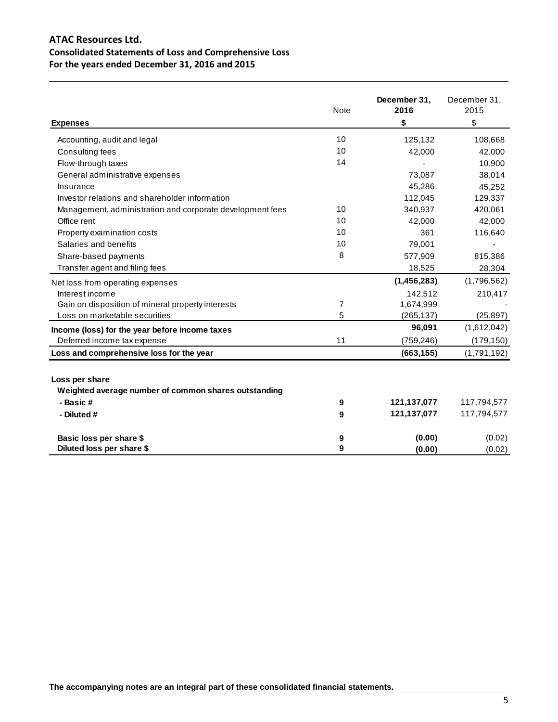# **ATAC Resources Ltd. Consolidated Statements of Loss and Comprehensive Loss For the years ended December 31, 2016 and 2015**

| <b>Expenses</b>                                                                    | <b>Note</b> | December 31,<br>2016<br>\$ | December 31,<br>2015<br>\$ |
|------------------------------------------------------------------------------------|-------------|----------------------------|----------------------------|
| Accounting, audit and legal                                                        | 10          | 125,132                    | 108,668                    |
| Consulting fees                                                                    | 10          | 42,000                     | 42,000                     |
| Flow-through taxes                                                                 | 14          |                            | 10,900                     |
| General administrative expenses                                                    |             | 73,087                     | 38,014                     |
| Insurance                                                                          |             | 45,286                     | 45,252                     |
| Investor relations and shareholder information                                     |             | 112,045                    | 129,337                    |
| Management, administration and corporate development fees                          | 10          | 340,937                    | 420,061                    |
| Office rent                                                                        | 10          | 42,000                     | 42,000                     |
| Property examination costs                                                         | 10          | 361                        | 116,640                    |
| Salaries and benefits                                                              | 10          | 79,001                     |                            |
| Share-based payments                                                               | 8           | 577,909                    | 815,386                    |
| Transfer agent and filing fees                                                     |             | 18,525                     | 28,304                     |
| Net loss from operating expenses                                                   |             | (1,456,283)                | (1,796,562)                |
| Interest income                                                                    |             | 142,512                    | 210,417                    |
| Gain on disposition of mineral property interests                                  | 7           | 1,674,999                  |                            |
| Loss on marketable securities                                                      | 5           | (265, 137)                 | (25, 897)                  |
| Income (loss) for the year before income taxes                                     |             | 96,091                     | (1,612,042)                |
| Deferred income tax expense                                                        | 11          | (759, 246)                 | (179, 150)                 |
| Loss and comprehensive loss for the year                                           |             | (663, 155)                 | (1,791,192)                |
| Loss per share<br>Weighted average number of common shares outstanding<br>- Basic# | 9           | 121, 137, 077              | 117,794,577                |
| - Diluted #                                                                        | 9           | 121, 137, 077              | 117,794,577                |
|                                                                                    |             |                            |                            |
| Basic loss per share \$                                                            | 9           | (0.00)                     | (0.02)                     |
| Diluted loss per share \$                                                          | 9           | (0.00)                     | (0.02)                     |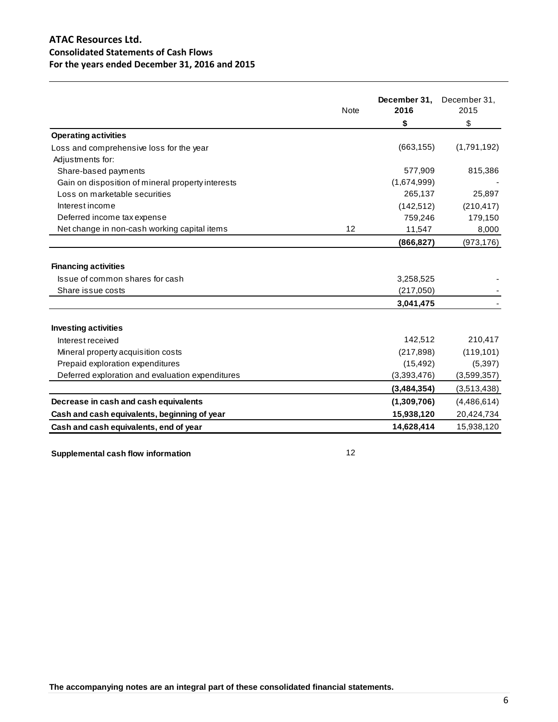# **ATAC Resources Ltd. Consolidated Statements of Cash Flows For the years ended December 31, 2016 and 2015**

|                                                   | <b>Note</b> | December 31,<br>2016 | December 31,<br>2015 |
|---------------------------------------------------|-------------|----------------------|----------------------|
|                                                   |             | \$                   | \$                   |
| <b>Operating activities</b>                       |             |                      |                      |
| Loss and comprehensive loss for the year          |             | (663, 155)           | (1,791,192)          |
| Adjustments for:                                  |             |                      |                      |
| Share-based payments                              |             | 577,909              | 815,386              |
| Gain on disposition of mineral property interests |             | (1,674,999)          |                      |
| Loss on marketable securities                     |             | 265,137              | 25,897               |
| Interest income                                   |             | (142, 512)           | (210, 417)           |
| Deferred income tax expense                       |             | 759,246              | 179,150              |
| Net change in non-cash working capital items      | 12          | 11,547               | 8,000                |
|                                                   |             | (866, 827)           | (973, 176)           |
| <b>Financing activities</b>                       |             |                      |                      |
| Issue of common shares for cash                   |             | 3,258,525            |                      |
| Share issue costs                                 |             | (217,050)            |                      |
|                                                   |             | 3,041,475            |                      |
| <b>Investing activities</b>                       |             |                      |                      |
| Interest received                                 |             | 142,512              | 210,417              |
| Mineral property acquisition costs                |             | (217, 898)           | (119, 101)           |
| Prepaid exploration expenditures                  |             | (15, 492)            | (5, 397)             |
| Deferred exploration and evaluation expenditures  |             | (3,393,476)          | (3,599,357)          |
|                                                   |             | (3,484,354)          | (3,513,438)          |
| Decrease in cash and cash equivalents             |             | (1,309,706)          | (4,486,614)          |
| Cash and cash equivalents, beginning of year      |             | 15,938,120           | 20,424,734           |
| Cash and cash equivalents, end of year            |             | 14,628,414           | 15,938,120           |

**Supplemental cash flow information** 12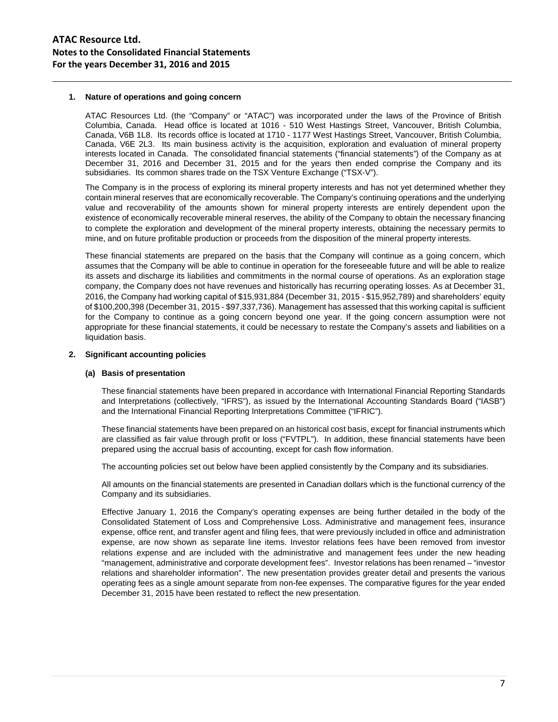## **1. Nature of operations and going concern**

ATAC Resources Ltd. (the "Company" or "ATAC") was incorporated under the laws of the Province of British Columbia, Canada. Head office is located at 1016 - 510 West Hastings Street, Vancouver, British Columbia, Canada, V6B 1L8. Its records office is located at 1710 - 1177 West Hastings Street, Vancouver, British Columbia, Canada, V6E 2L3. Its main business activity is the acquisition, exploration and evaluation of mineral property interests located in Canada. The consolidated financial statements ("financial statements") of the Company as at December 31, 2016 and December 31, 2015 and for the years then ended comprise the Company and its subsidiaries. Its common shares trade on the TSX Venture Exchange ("TSX-V").

The Company is in the process of exploring its mineral property interests and has not yet determined whether they contain mineral reserves that are economically recoverable. The Company's continuing operations and the underlying value and recoverability of the amounts shown for mineral property interests are entirely dependent upon the existence of economically recoverable mineral reserves, the ability of the Company to obtain the necessary financing to complete the exploration and development of the mineral property interests, obtaining the necessary permits to mine, and on future profitable production or proceeds from the disposition of the mineral property interests.

These financial statements are prepared on the basis that the Company will continue as a going concern, which assumes that the Company will be able to continue in operation for the foreseeable future and will be able to realize its assets and discharge its liabilities and commitments in the normal course of operations. As an exploration stage company, the Company does not have revenues and historically has recurring operating losses. As at December 31, 2016, the Company had working capital of \$15,931,884 (December 31, 2015 - \$15,952,789) and shareholders' equity of \$100,200,398 (December 31, 2015 - \$97,337,736). Management has assessed that this working capital is sufficient for the Company to continue as a going concern beyond one year. If the going concern assumption were not appropriate for these financial statements, it could be necessary to restate the Company's assets and liabilities on a liquidation basis.

#### **2. Significant accounting policies**

#### **(a) Basis of presentation**

These financial statements have been prepared in accordance with International Financial Reporting Standards and Interpretations (collectively, "IFRS"), as issued by the International Accounting Standards Board ("IASB") and the International Financial Reporting Interpretations Committee ("IFRIC").

These financial statements have been prepared on an historical cost basis, except for financial instruments which are classified as fair value through profit or loss ("FVTPL"). In addition, these financial statements have been prepared using the accrual basis of accounting, except for cash flow information.

The accounting policies set out below have been applied consistently by the Company and its subsidiaries.

All amounts on the financial statements are presented in Canadian dollars which is the functional currency of the Company and its subsidiaries.

Effective January 1, 2016 the Company's operating expenses are being further detailed in the body of the Consolidated Statement of Loss and Comprehensive Loss. Administrative and management fees, insurance expense, office rent, and transfer agent and filing fees, that were previously included in office and administration expense, are now shown as separate line items. Investor relations fees have been removed from investor relations expense and are included with the administrative and management fees under the new heading "management, administrative and corporate development fees". Investor relations has been renamed – "investor relations and shareholder information". The new presentation provides greater detail and presents the various operating fees as a single amount separate from non-fee expenses. The comparative figures for the year ended December 31, 2015 have been restated to reflect the new presentation.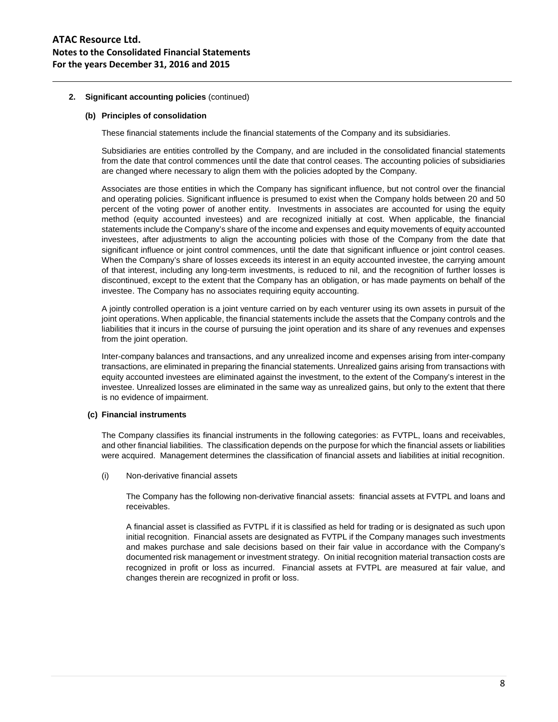# **ATAC Resource Ltd. Notes to the Consolidated Financial Statements For the years December 31, 2016 and 2015**

# **2. Significant accounting policies** (continued)

## **(b) Principles of consolidation**

These financial statements include the financial statements of the Company and its subsidiaries.

Subsidiaries are entities controlled by the Company, and are included in the consolidated financial statements from the date that control commences until the date that control ceases. The accounting policies of subsidiaries are changed where necessary to align them with the policies adopted by the Company.

Associates are those entities in which the Company has significant influence, but not control over the financial and operating policies. Significant influence is presumed to exist when the Company holds between 20 and 50 percent of the voting power of another entity. Investments in associates are accounted for using the equity method (equity accounted investees) and are recognized initially at cost. When applicable, the financial statements include the Company's share of the income and expenses and equity movements of equity accounted investees, after adjustments to align the accounting policies with those of the Company from the date that significant influence or joint control commences, until the date that significant influence or joint control ceases. When the Company's share of losses exceeds its interest in an equity accounted investee, the carrying amount of that interest, including any long-term investments, is reduced to nil, and the recognition of further losses is discontinued, except to the extent that the Company has an obligation, or has made payments on behalf of the investee. The Company has no associates requiring equity accounting.

A jointly controlled operation is a joint venture carried on by each venturer using its own assets in pursuit of the joint operations. When applicable, the financial statements include the assets that the Company controls and the liabilities that it incurs in the course of pursuing the joint operation and its share of any revenues and expenses from the joint operation.

Inter-company balances and transactions, and any unrealized income and expenses arising from inter-company transactions, are eliminated in preparing the financial statements. Unrealized gains arising from transactions with equity accounted investees are eliminated against the investment, to the extent of the Company's interest in the investee. Unrealized losses are eliminated in the same way as unrealized gains, but only to the extent that there is no evidence of impairment.

## **(c) Financial instruments**

The Company classifies its financial instruments in the following categories: as FVTPL, loans and receivables, and other financial liabilities. The classification depends on the purpose for which the financial assets or liabilities were acquired. Management determines the classification of financial assets and liabilities at initial recognition.

(i) Non-derivative financial assets

The Company has the following non-derivative financial assets: financial assets at FVTPL and loans and receivables.

A financial asset is classified as FVTPL if it is classified as held for trading or is designated as such upon initial recognition. Financial assets are designated as FVTPL if the Company manages such investments and makes purchase and sale decisions based on their fair value in accordance with the Company's documented risk management or investment strategy. On initial recognition material transaction costs are recognized in profit or loss as incurred. Financial assets at FVTPL are measured at fair value, and changes therein are recognized in profit or loss.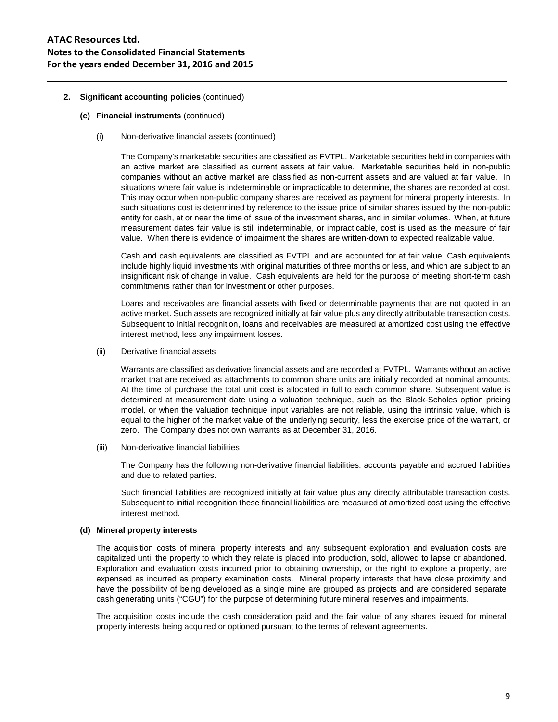- **(c) Financial instruments** (continued)
	- (i) Non-derivative financial assets (continued)

The Company's marketable securities are classified as FVTPL. Marketable securities held in companies with an active market are classified as current assets at fair value. Marketable securities held in non-public companies without an active market are classified as non-current assets and are valued at fair value. In situations where fair value is indeterminable or impracticable to determine, the shares are recorded at cost. This may occur when non-public company shares are received as payment for mineral property interests. In such situations cost is determined by reference to the issue price of similar shares issued by the non-public entity for cash, at or near the time of issue of the investment shares, and in similar volumes. When, at future measurement dates fair value is still indeterminable, or impracticable, cost is used as the measure of fair value. When there is evidence of impairment the shares are written-down to expected realizable value.

Cash and cash equivalents are classified as FVTPL and are accounted for at fair value. Cash equivalents include highly liquid investments with original maturities of three months or less, and which are subject to an insignificant risk of change in value. Cash equivalents are held for the purpose of meeting short-term cash commitments rather than for investment or other purposes.

Loans and receivables are financial assets with fixed or determinable payments that are not quoted in an active market. Such assets are recognized initially at fair value plus any directly attributable transaction costs. Subsequent to initial recognition, loans and receivables are measured at amortized cost using the effective interest method, less any impairment losses.

(ii) Derivative financial assets

Warrants are classified as derivative financial assets and are recorded at FVTPL. Warrants without an active market that are received as attachments to common share units are initially recorded at nominal amounts. At the time of purchase the total unit cost is allocated in full to each common share. Subsequent value is determined at measurement date using a valuation technique, such as the Black-Scholes option pricing model, or when the valuation technique input variables are not reliable, using the intrinsic value, which is equal to the higher of the market value of the underlying security, less the exercise price of the warrant, or zero. The Company does not own warrants as at December 31, 2016.

(iii) Non-derivative financial liabilities

The Company has the following non-derivative financial liabilities: accounts payable and accrued liabilities and due to related parties.

Such financial liabilities are recognized initially at fair value plus any directly attributable transaction costs. Subsequent to initial recognition these financial liabilities are measured at amortized cost using the effective interest method.

## **(d) Mineral property interests**

The acquisition costs of mineral property interests and any subsequent exploration and evaluation costs are capitalized until the property to which they relate is placed into production, sold, allowed to lapse or abandoned. Exploration and evaluation costs incurred prior to obtaining ownership, or the right to explore a property, are expensed as incurred as property examination costs. Mineral property interests that have close proximity and have the possibility of being developed as a single mine are grouped as projects and are considered separate cash generating units ("CGU") for the purpose of determining future mineral reserves and impairments.

The acquisition costs include the cash consideration paid and the fair value of any shares issued for mineral property interests being acquired or optioned pursuant to the terms of relevant agreements.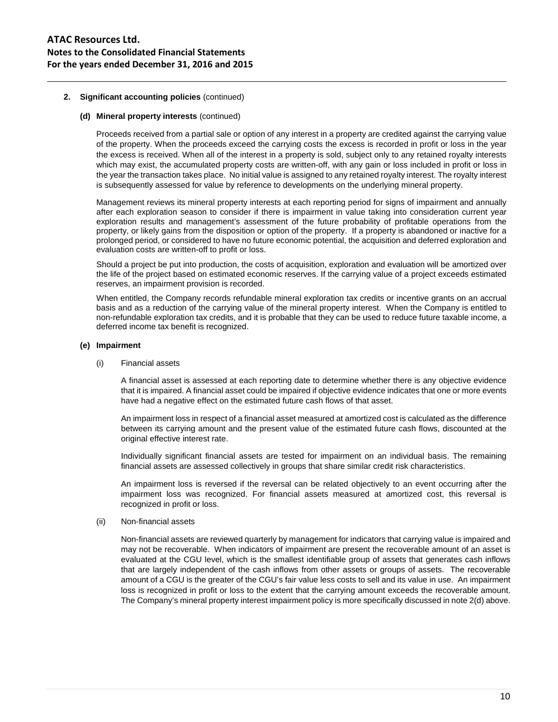## **(d) Mineral property interests** (continued)

Proceeds received from a partial sale or option of any interest in a property are credited against the carrying value of the property. When the proceeds exceed the carrying costs the excess is recorded in profit or loss in the year the excess is received. When all of the interest in a property is sold, subject only to any retained royalty interests which may exist, the accumulated property costs are written-off, with any gain or loss included in profit or loss in the year the transaction takes place. No initial value is assigned to any retained royalty interest. The royalty interest is subsequently assessed for value by reference to developments on the underlying mineral property.

Management reviews its mineral property interests at each reporting period for signs of impairment and annually after each exploration season to consider if there is impairment in value taking into consideration current year exploration results and management's assessment of the future probability of profitable operations from the property, or likely gains from the disposition or option of the property. If a property is abandoned or inactive for a prolonged period, or considered to have no future economic potential, the acquisition and deferred exploration and evaluation costs are written-off to profit or loss.

Should a project be put into production, the costs of acquisition, exploration and evaluation will be amortized over the life of the project based on estimated economic reserves. If the carrying value of a project exceeds estimated reserves, an impairment provision is recorded.

When entitled, the Company records refundable mineral exploration tax credits or incentive grants on an accrual basis and as a reduction of the carrying value of the mineral property interest. When the Company is entitled to non-refundable exploration tax credits, and it is probable that they can be used to reduce future taxable income, a deferred income tax benefit is recognized.

## **(e) Impairment**

#### (i) Financial assets

A financial asset is assessed at each reporting date to determine whether there is any objective evidence that it is impaired. A financial asset could be impaired if objective evidence indicates that one or more events have had a negative effect on the estimated future cash flows of that asset.

An impairment loss in respect of a financial asset measured at amortized cost is calculated as the difference between its carrying amount and the present value of the estimated future cash flows, discounted at the original effective interest rate.

Individually significant financial assets are tested for impairment on an individual basis. The remaining financial assets are assessed collectively in groups that share similar credit risk characteristics.

An impairment loss is reversed if the reversal can be related objectively to an event occurring after the impairment loss was recognized. For financial assets measured at amortized cost, this reversal is recognized in profit or loss.

## (ii) Non-financial assets

Non-financial assets are reviewed quarterly by management for indicators that carrying value is impaired and may not be recoverable. When indicators of impairment are present the recoverable amount of an asset is evaluated at the CGU level, which is the smallest identifiable group of assets that generates cash inflows that are largely independent of the cash inflows from other assets or groups of assets. The recoverable amount of a CGU is the greater of the CGU's fair value less costs to sell and its value in use. An impairment loss is recognized in profit or loss to the extent that the carrying amount exceeds the recoverable amount. The Company's mineral property interest impairment policy is more specifically discussed in note 2(d) above.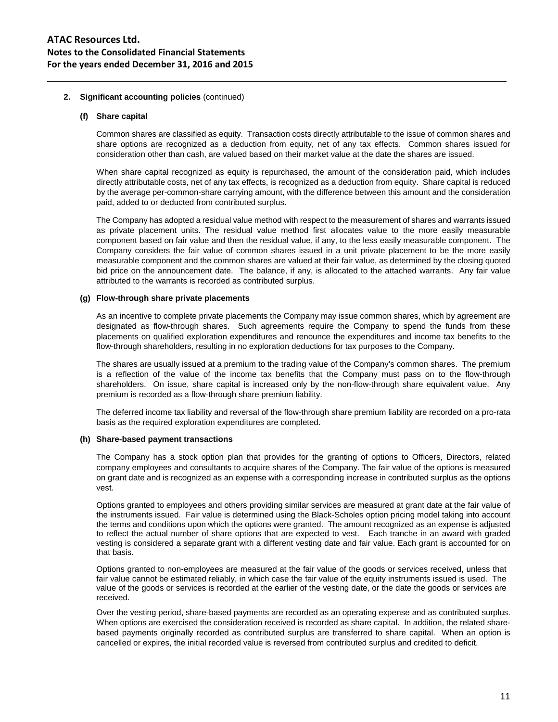#### **(f) Share capital**

Common shares are classified as equity. Transaction costs directly attributable to the issue of common shares and share options are recognized as a deduction from equity, net of any tax effects. Common shares issued for consideration other than cash, are valued based on their market value at the date the shares are issued.

When share capital recognized as equity is repurchased, the amount of the consideration paid, which includes directly attributable costs, net of any tax effects, is recognized as a deduction from equity. Share capital is reduced by the average per-common-share carrying amount, with the difference between this amount and the consideration paid, added to or deducted from contributed surplus.

The Company has adopted a residual value method with respect to the measurement of shares and warrants issued as private placement units. The residual value method first allocates value to the more easily measurable component based on fair value and then the residual value, if any, to the less easily measurable component. The Company considers the fair value of common shares issued in a unit private placement to be the more easily measurable component and the common shares are valued at their fair value, as determined by the closing quoted bid price on the announcement date. The balance, if any, is allocated to the attached warrants. Any fair value attributed to the warrants is recorded as contributed surplus.

# **(g) Flow-through share private placements**

As an incentive to complete private placements the Company may issue common shares, which by agreement are designated as flow-through shares. Such agreements require the Company to spend the funds from these placements on qualified exploration expenditures and renounce the expenditures and income tax benefits to the flow-through shareholders, resulting in no exploration deductions for tax purposes to the Company.

The shares are usually issued at a premium to the trading value of the Company's common shares. The premium is a reflection of the value of the income tax benefits that the Company must pass on to the flow-through shareholders. On issue, share capital is increased only by the non-flow-through share equivalent value. Any premium is recorded as a flow-through share premium liability.

The deferred income tax liability and reversal of the flow-through share premium liability are recorded on a pro-rata basis as the required exploration expenditures are completed.

## **(h) Share-based payment transactions**

The Company has a stock option plan that provides for the granting of options to Officers, Directors, related company employees and consultants to acquire shares of the Company. The fair value of the options is measured on grant date and is recognized as an expense with a corresponding increase in contributed surplus as the options vest.

Options granted to employees and others providing similar services are measured at grant date at the fair value of the instruments issued. Fair value is determined using the Black-Scholes option pricing model taking into account the terms and conditions upon which the options were granted. The amount recognized as an expense is adjusted to reflect the actual number of share options that are expected to vest. Each tranche in an award with graded vesting is considered a separate grant with a different vesting date and fair value. Each grant is accounted for on that basis.

Options granted to non-employees are measured at the fair value of the goods or services received, unless that fair value cannot be estimated reliably, in which case the fair value of the equity instruments issued is used. The value of the goods or services is recorded at the earlier of the vesting date, or the date the goods or services are received.

Over the vesting period, share-based payments are recorded as an operating expense and as contributed surplus. When options are exercised the consideration received is recorded as share capital. In addition, the related sharebased payments originally recorded as contributed surplus are transferred to share capital. When an option is cancelled or expires, the initial recorded value is reversed from contributed surplus and credited to deficit.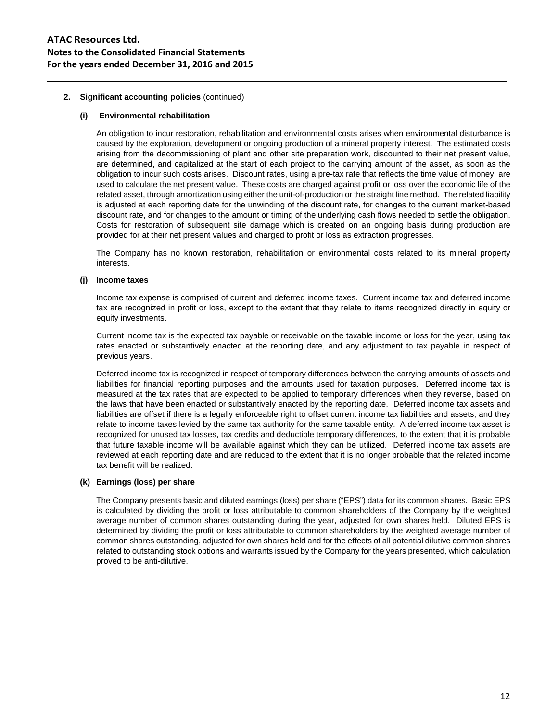## **(i) Environmental rehabilitation**

An obligation to incur restoration, rehabilitation and environmental costs arises when environmental disturbance is caused by the exploration, development or ongoing production of a mineral property interest. The estimated costs arising from the decommissioning of plant and other site preparation work, discounted to their net present value, are determined, and capitalized at the start of each project to the carrying amount of the asset, as soon as the obligation to incur such costs arises. Discount rates, using a pre-tax rate that reflects the time value of money, are used to calculate the net present value. These costs are charged against profit or loss over the economic life of the related asset, through amortization using either the unit-of-production or the straight line method. The related liability is adjusted at each reporting date for the unwinding of the discount rate, for changes to the current market-based discount rate, and for changes to the amount or timing of the underlying cash flows needed to settle the obligation. Costs for restoration of subsequent site damage which is created on an ongoing basis during production are provided for at their net present values and charged to profit or loss as extraction progresses.

The Company has no known restoration, rehabilitation or environmental costs related to its mineral property interests.

## **(j) Income taxes**

Income tax expense is comprised of current and deferred income taxes. Current income tax and deferred income tax are recognized in profit or loss, except to the extent that they relate to items recognized directly in equity or equity investments.

Current income tax is the expected tax payable or receivable on the taxable income or loss for the year, using tax rates enacted or substantively enacted at the reporting date, and any adjustment to tax payable in respect of previous years.

Deferred income tax is recognized in respect of temporary differences between the carrying amounts of assets and liabilities for financial reporting purposes and the amounts used for taxation purposes. Deferred income tax is measured at the tax rates that are expected to be applied to temporary differences when they reverse, based on the laws that have been enacted or substantively enacted by the reporting date. Deferred income tax assets and liabilities are offset if there is a legally enforceable right to offset current income tax liabilities and assets, and they relate to income taxes levied by the same tax authority for the same taxable entity. A deferred income tax asset is recognized for unused tax losses, tax credits and deductible temporary differences, to the extent that it is probable that future taxable income will be available against which they can be utilized. Deferred income tax assets are reviewed at each reporting date and are reduced to the extent that it is no longer probable that the related income tax benefit will be realized.

## **(k) Earnings (loss) per share**

The Company presents basic and diluted earnings (loss) per share ("EPS") data for its common shares. Basic EPS is calculated by dividing the profit or loss attributable to common shareholders of the Company by the weighted average number of common shares outstanding during the year, adjusted for own shares held. Diluted EPS is determined by dividing the profit or loss attributable to common shareholders by the weighted average number of common shares outstanding, adjusted for own shares held and for the effects of all potential dilutive common shares related to outstanding stock options and warrants issued by the Company for the years presented, which calculation proved to be anti-dilutive.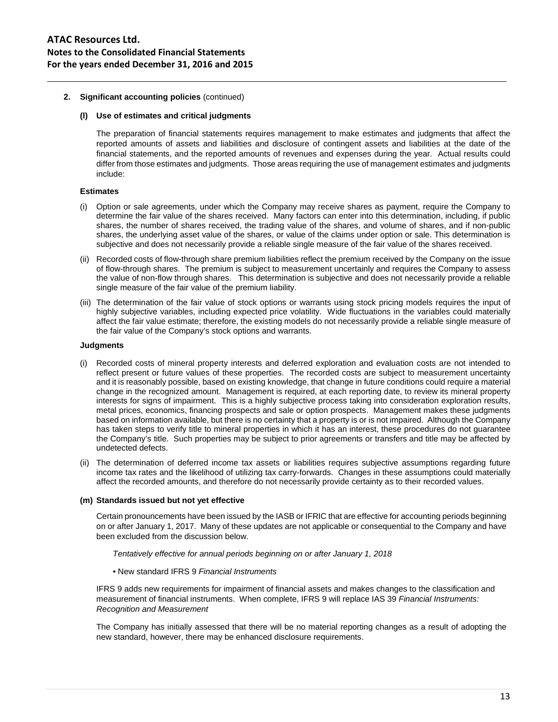## **(l) Use of estimates and critical judgments**

The preparation of financial statements requires management to make estimates and judgments that affect the reported amounts of assets and liabilities and disclosure of contingent assets and liabilities at the date of the financial statements, and the reported amounts of revenues and expenses during the year. Actual results could differ from those estimates and judgments. Those areas requiring the use of management estimates and judgments include:

## **Estimates**

- (i) Option or sale agreements, under which the Company may receive shares as payment, require the Company to determine the fair value of the shares received. Many factors can enter into this determination, including, if public shares, the number of shares received, the trading value of the shares, and volume of shares, and if non-public shares, the underlying asset value of the shares, or value of the claims under option or sale. This determination is subjective and does not necessarily provide a reliable single measure of the fair value of the shares received.
- (ii) Recorded costs of flow-through share premium liabilities reflect the premium received by the Company on the issue of flow-through shares. The premium is subject to measurement uncertainly and requires the Company to assess the value of non-flow through shares. This determination is subjective and does not necessarily provide a reliable single measure of the fair value of the premium liability.
- (iii) The determination of the fair value of stock options or warrants using stock pricing models requires the input of highly subjective variables, including expected price volatility. Wide fluctuations in the variables could materially affect the fair value estimate; therefore, the existing models do not necessarily provide a reliable single measure of the fair value of the Company's stock options and warrants.

## **Judgments**

- Recorded costs of mineral property interests and deferred exploration and evaluation costs are not intended to reflect present or future values of these properties. The recorded costs are subject to measurement uncertainty and it is reasonably possible, based on existing knowledge, that change in future conditions could require a material change in the recognized amount. Management is required, at each reporting date, to review its mineral property interests for signs of impairment. This is a highly subjective process taking into consideration exploration results, metal prices, economics, financing prospects and sale or option prospects. Management makes these judgments based on information available, but there is no certainty that a property is or is not impaired. Although the Company has taken steps to verify title to mineral properties in which it has an interest, these procedures do not guarantee the Company's title. Such properties may be subject to prior agreements or transfers and title may be affected by undetected defects.
- (ii) The determination of deferred income tax assets or liabilities requires subjective assumptions regarding future income tax rates and the likelihood of utilizing tax carry-forwards. Changes in these assumptions could materially affect the recorded amounts, and therefore do not necessarily provide certainty as to their recorded values.

## **(m) Standards issued but not yet effective**

Certain pronouncements have been issued by the IASB or IFRIC that are effective for accounting periods beginning on or after January 1, 2017. Many of these updates are not applicable or consequential to the Company and have been excluded from the discussion below.

*Tentatively effective for annual periods beginning on or after January 1, 2018*

## • New standard IFRS 9 *Financial Instruments*

IFRS 9 adds new requirements for impairment of financial assets and makes changes to the classification and measurement of financial instruments. When complete, IFRS 9 will replace IAS 39 *Financial Instruments: Recognition and Measurement*

The Company has initially assessed that there will be no material reporting changes as a result of adopting the new standard, however, there may be enhanced disclosure requirements.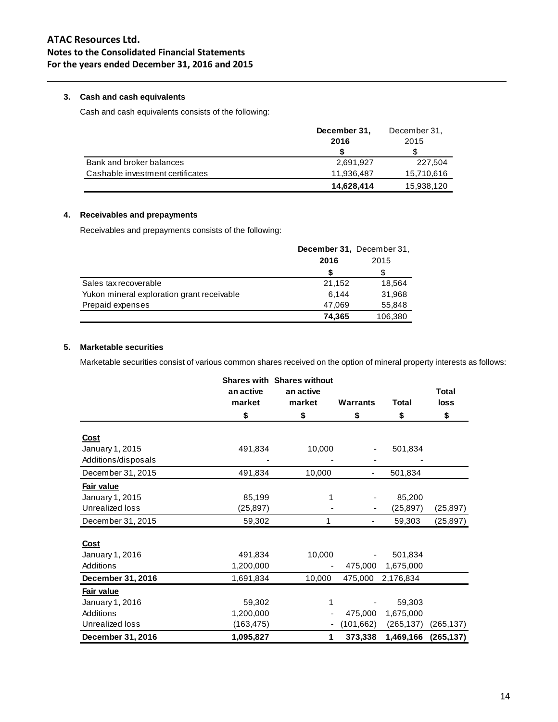# **ATAC Resources Ltd. Notes to the Consolidated Financial Statements For the years ended December 31, 2016 and 2015**

# **3. Cash and cash equivalents**

Cash and cash equivalents consists of the following:

|                                  | December 31, | December 31, |
|----------------------------------|--------------|--------------|
|                                  | 2016         | 2015         |
|                                  |              |              |
| Bank and broker balances         | 2.691.927    | 227.504      |
| Cashable investment certificates | 11.936.487   | 15,710,616   |
|                                  | 14,628,414   | 15,938,120   |

# **4. Receivables and prepayments**

Receivables and prepayments consists of the following:

|                                            | December 31, December 31, |         |  |
|--------------------------------------------|---------------------------|---------|--|
|                                            | 2016                      | 2015    |  |
|                                            |                           |         |  |
| Sales tax recoverable                      | 21,152                    | 18,564  |  |
| Yukon mineral exploration grant receivable | 6.144                     | 31,968  |  |
| Prepaid expenses                           | 47,069                    | 55,848  |  |
|                                            | 74,365                    | 106,380 |  |

# **5. Marketable securities**

Marketable securities consist of various common shares received on the option of mineral property interests as follows:

|                     |            | <b>Shares with Shares without</b> |            |              |              |
|---------------------|------------|-----------------------------------|------------|--------------|--------------|
|                     | an active  | an active<br>market               |            | <b>Total</b> | <b>Total</b> |
|                     | market     |                                   | Warrants   |              | loss         |
|                     | \$         | \$                                | \$         | \$           | \$           |
| <b>Cost</b>         |            |                                   |            |              |              |
| January 1, 2015     | 491,834    | 10,000                            |            | 501,834      |              |
| Additions/disposals |            |                                   |            |              |              |
| December 31, 2015   | 491,834    | 10,000                            |            | 501,834      |              |
| Fair value          |            |                                   |            |              |              |
| January 1, 2015     | 85,199     | 1                                 |            | 85,200       |              |
| Unrealized loss     | (25, 897)  |                                   |            | (25, 897)    | (25,897)     |
| December 31, 2015   | 59,302     | 1                                 |            | 59,303       | (25, 897)    |
|                     |            |                                   |            |              |              |
| Cost                |            |                                   |            |              |              |
| January 1, 2016     | 491,834    | 10,000                            |            | 501,834      |              |
| Additions           | 1,200,000  |                                   | 475,000    | 1,675,000    |              |
| December 31, 2016   | 1,691,834  | 10,000                            | 475,000    | 2,176,834    |              |
| Fair value          |            |                                   |            |              |              |
| January 1, 2016     | 59,302     | 1                                 |            | 59,303       |              |
| Additions           | 1,200,000  |                                   | 475,000    | 1,675,000    |              |
| Unrealized loss     | (163, 475) | ۰                                 | (101, 662) | (265, 137)   | (265, 137)   |
| December 31, 2016   | 1,095,827  | 1                                 | 373,338    | 1,469,166    | (265, 137)   |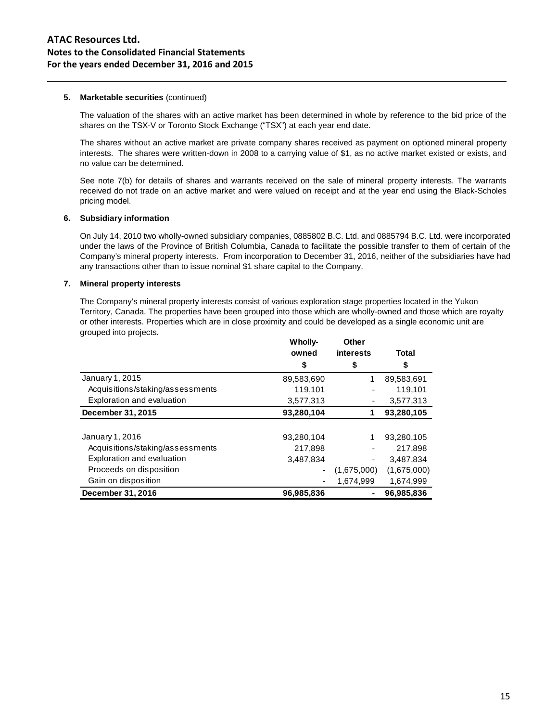#### **5. Marketable securities** (continued)

The valuation of the shares with an active market has been determined in whole by reference to the bid price of the shares on the TSX-V or Toronto Stock Exchange ("TSX") at each year end date.

The shares without an active market are private company shares received as payment on optioned mineral property interests. The shares were written-down in 2008 to a carrying value of \$1, as no active market existed or exists, and no value can be determined.

See note 7(b) for details of shares and warrants received on the sale of mineral property interests. The warrants received do not trade on an active market and were valued on receipt and at the year end using the Black-Scholes pricing model.

#### **6. Subsidiary information**

On July 14, 2010 two wholly-owned subsidiary companies, 0885802 B.C. Ltd. and 0885794 B.C. Ltd. were incorporated under the laws of the Province of British Columbia, Canada to facilitate the possible transfer to them of certain of the Company's mineral property interests. From incorporation to December 31, 2016, neither of the subsidiaries have had any transactions other than to issue nominal \$1 share capital to the Company.

## **7. Mineral property interests**

The Company's mineral property interests consist of various exploration stage properties located in the Yukon Territory, Canada. The properties have been grouped into those which are wholly-owned and those which are royalty or other interests. Properties which are in close proximity and could be developed as a single economic unit are grouped into projects.

|                                  | Wholly-    | Other       |              |
|----------------------------------|------------|-------------|--------------|
|                                  | owned      | interests   | <b>Total</b> |
|                                  | \$         | \$          | \$           |
| January 1, 2015                  | 89,583,690 | 1           | 89,583,691   |
| Acquisitions/staking/assessments | 119,101    |             | 119,101      |
| Exploration and evaluation       | 3,577,313  |             | 3,577,313    |
| December 31, 2015                | 93,280,104 |             | 93,280,105   |
|                                  |            |             |              |
| January 1, 2016                  | 93,280,104 | 1           | 93,280,105   |
| Acquisitions/staking/assessments | 217,898    |             | 217.898      |
| Exploration and evaluation       | 3.487.834  | -           | 3,487,834    |
| Proceeds on disposition          |            | (1,675,000) | (1,675,000)  |
| Gain on disposition              |            | 1.674.999   | 1,674,999    |
| December 31, 2016                | 96,985,836 |             | 96,985,836   |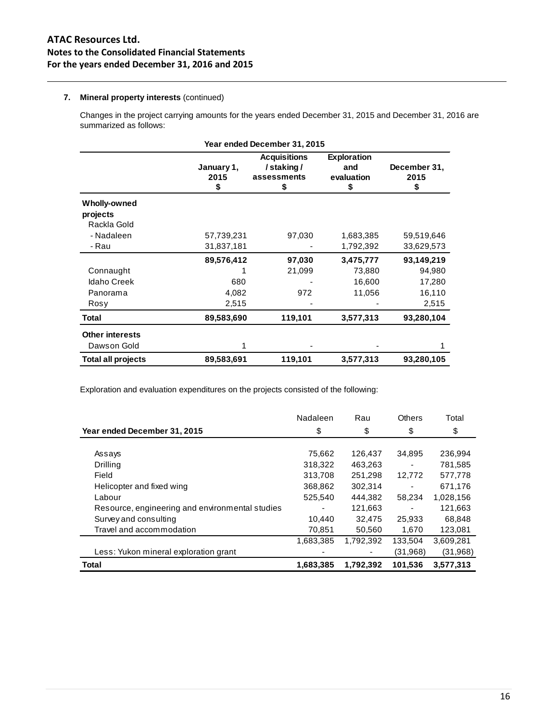# **7. Mineral property interests** (continued)

Changes in the project carrying amounts for the years ended December 31, 2015 and December 31, 2016 are summarized as follows:

| Year ended December 31, 2015 |                          |                                                      |                                               |                            |  |  |
|------------------------------|--------------------------|------------------------------------------------------|-----------------------------------------------|----------------------------|--|--|
|                              | January 1,<br>2015<br>\$ | <b>Acquisitions</b><br>/staking/<br>assessments<br>S | <b>Exploration</b><br>and<br>evaluation<br>\$ | December 31,<br>2015<br>\$ |  |  |
| Wholly-owned                 |                          |                                                      |                                               |                            |  |  |
| projects                     |                          |                                                      |                                               |                            |  |  |
| Rackla Gold                  |                          |                                                      |                                               |                            |  |  |
| - Nadaleen                   | 57,739,231               | 97,030                                               | 1,683,385                                     | 59,519,646                 |  |  |
| - Rau                        | 31,837,181               |                                                      | 1,792,392                                     | 33,629,573                 |  |  |
|                              | 89,576,412               | 97,030                                               | 3,475,777                                     | 93,149,219                 |  |  |
| Connaught                    |                          | 21,099                                               | 73,880                                        | 94,980                     |  |  |
| <b>Idaho Creek</b>           | 680                      |                                                      | 16,600                                        | 17,280                     |  |  |
| Panorama                     | 4,082                    | 972                                                  | 11,056                                        | 16,110                     |  |  |
| Rosy                         | 2,515                    |                                                      |                                               | 2,515                      |  |  |
| Total                        | 89,583,690               | 119,101                                              | 3,577,313                                     | 93,280,104                 |  |  |
| <b>Other interests</b>       |                          |                                                      |                                               |                            |  |  |
| Dawson Gold                  | 1                        |                                                      |                                               |                            |  |  |
| <b>Total all projects</b>    | 89,583,691               | 119,101                                              | 3,577,313                                     | 93,280,105                 |  |  |

Exploration and evaluation expenditures on the projects consisted of the following:

|                                                 | Nadaleen  | Rau       | Others    | Total     |
|-------------------------------------------------|-----------|-----------|-----------|-----------|
| Year ended December 31, 2015                    | \$        | \$        | \$        | \$        |
|                                                 |           |           |           |           |
| Assays                                          | 75,662    | 126,437   | 34,895    | 236,994   |
| Drilling                                        | 318,322   | 463,263   |           | 781,585   |
| Field                                           | 313,708   | 251.298   | 12,772    | 577,778   |
| Helicopter and fixed wing                       | 368,862   | 302,314   |           | 671,176   |
| Labour                                          | 525.540   | 444.382   | 58,234    | 1,028,156 |
| Resource, engineering and environmental studies | ۰         | 121,663   |           | 121,663   |
| Survey and consulting                           | 10.440    | 32,475    | 25,933    | 68,848    |
| Travel and accommodation                        | 70,851    | 50,560    | 1,670     | 123,081   |
|                                                 | 1,683,385 | 1,792,392 | 133,504   | 3,609,281 |
| Less: Yukon mineral exploration grant           |           |           | (31, 968) | (31,968)  |
| <b>Total</b>                                    | 1,683,385 | 1,792,392 | 101.536   | 3.577.313 |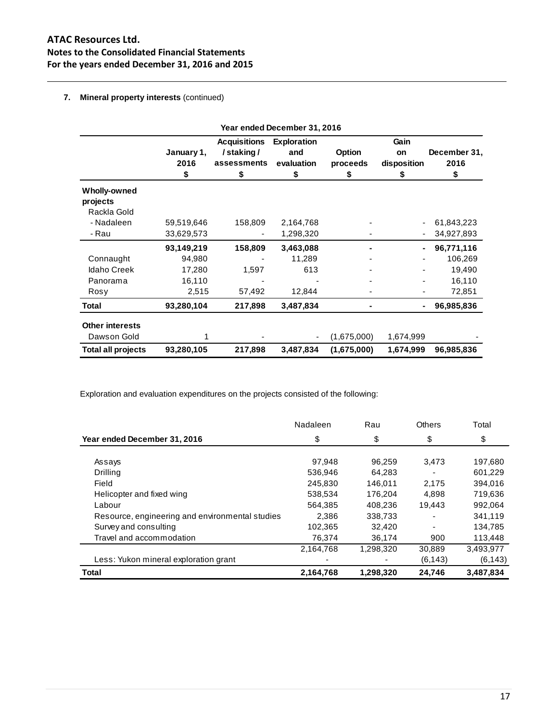# **ATAC Resources Ltd. Notes to the Consolidated Financial Statements For the years ended December 31, 2016 and 2015**

# **7. Mineral property interests** (continued)

|                           | Year ended December 31, 2016 |                     |                    |             |             |              |
|---------------------------|------------------------------|---------------------|--------------------|-------------|-------------|--------------|
|                           |                              | <b>Acquisitions</b> | <b>Exploration</b> |             | Gain        |              |
|                           | January 1,                   | /staking/           | and                | Option      | on          | December 31, |
|                           | 2016                         | assessments         | evaluation         | proceeds    | disposition | 2016         |
|                           | \$                           | \$                  | \$                 | \$          | S           | \$           |
| <b>Wholly-owned</b>       |                              |                     |                    |             |             |              |
| projects                  |                              |                     |                    |             |             |              |
| Rackla Gold               |                              |                     |                    |             |             |              |
| - Nadaleen                | 59,519,646                   | 158,809             | 2,164,768          |             |             | 61,843,223   |
| - Rau                     | 33,629,573                   |                     | 1,298,320          |             |             | 34,927,893   |
|                           | 93,149,219                   | 158,809             | 3,463,088          |             |             | 96,771,116   |
| Connaught                 | 94,980                       |                     | 11,289             |             |             | 106,269      |
| <b>Idaho Creek</b>        | 17,280                       | 1,597               | 613                |             |             | 19,490       |
| Panorama                  | 16,110                       |                     |                    |             |             | 16,110       |
| Rosy                      | 2,515                        | 57,492              | 12,844             |             |             | 72,851       |
| Total                     | 93,280,104                   | 217,898             | 3,487,834          |             |             | 96,985,836   |
| <b>Other interests</b>    |                              |                     |                    |             |             |              |
| Dawson Gold               |                              |                     |                    | (1,675,000) | 1,674,999   |              |
| <b>Total all projects</b> | 93,280,105                   | 217,898             | 3,487,834          | (1,675,000) | 1,674,999   | 96,985,836   |

Exploration and evaluation expenditures on the projects consisted of the following:

|                                                 | Nadaleen  | Rau       | Others                   | Total     |
|-------------------------------------------------|-----------|-----------|--------------------------|-----------|
| Year ended December 31, 2016                    | \$        | \$        | \$                       | \$        |
|                                                 |           |           |                          |           |
| Assays                                          | 97,948    | 96.259    | 3.473                    | 197,680   |
| <b>Drilling</b>                                 | 536,946   | 64,283    |                          | 601,229   |
| Field                                           | 245,830   | 146.011   | 2.175                    | 394,016   |
| Helicopter and fixed wing                       | 538,534   | 176.204   | 4.898                    | 719,636   |
| Labour                                          | 564.385   | 408.236   | 19.443                   | 992,064   |
| Resource, engineering and environmental studies | 2.386     | 338,733   |                          | 341,119   |
| Survey and consulting                           | 102,365   | 32.420    | $\overline{\phantom{0}}$ | 134.785   |
| Travel and accommodation                        | 76,374    | 36,174    | 900                      | 113,448   |
|                                                 | 2,164,768 | 1,298,320 | 30,889                   | 3,493,977 |
| Less: Yukon mineral exploration grant           |           |           | (6, 143)                 | (6,143)   |
| <b>Total</b>                                    | 2,164,768 | 1,298,320 | 24,746                   | 3,487,834 |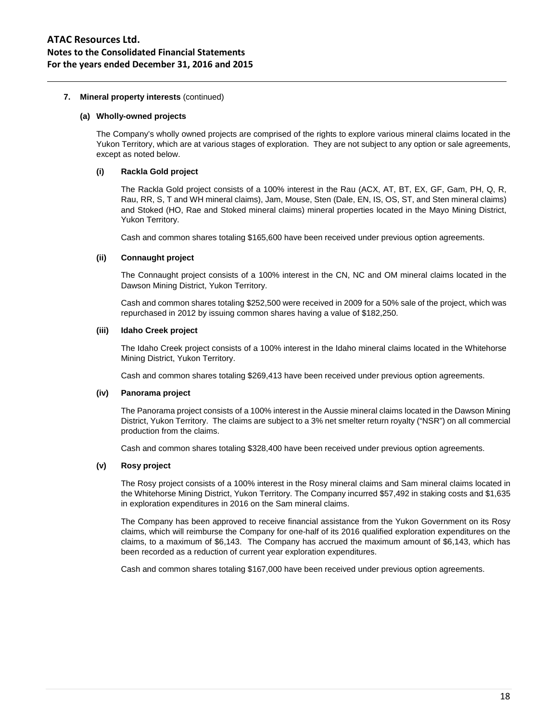## **7. Mineral property interests** (continued)

#### **(a) Wholly-owned projects**

The Company's wholly owned projects are comprised of the rights to explore various mineral claims located in the Yukon Territory, which are at various stages of exploration. They are not subject to any option or sale agreements, except as noted below.

## **(i) Rackla Gold project**

The Rackla Gold project consists of a 100% interest in the Rau (ACX, AT, BT, EX, GF, Gam, PH, Q, R, Rau, RR, S, T and WH mineral claims), Jam, Mouse, Sten (Dale, EN, IS, OS, ST, and Sten mineral claims) and Stoked (HO, Rae and Stoked mineral claims) mineral properties located in the Mayo Mining District, Yukon Territory.

Cash and common shares totaling \$165,600 have been received under previous option agreements.

## **(ii) Connaught project**

The Connaught project consists of a 100% interest in the CN, NC and OM mineral claims located in the Dawson Mining District, Yukon Territory.

Cash and common shares totaling \$252,500 were received in 2009 for a 50% sale of the project, which was repurchased in 2012 by issuing common shares having a value of \$182,250.

#### **(iii) Idaho Creek project**

The Idaho Creek project consists of a 100% interest in the Idaho mineral claims located in the Whitehorse Mining District, Yukon Territory.

Cash and common shares totaling \$269,413 have been received under previous option agreements.

## **(iv) Panorama project**

The Panorama project consists of a 100% interest in the Aussie mineral claims located in the Dawson Mining District, Yukon Territory. The claims are subject to a 3% net smelter return royalty ("NSR") on all commercial production from the claims.

Cash and common shares totaling \$328,400 have been received under previous option agreements.

## **(v) Rosy project**

The Rosy project consists of a 100% interest in the Rosy mineral claims and Sam mineral claims located in the Whitehorse Mining District, Yukon Territory. The Company incurred \$57,492 in staking costs and \$1,635 in exploration expenditures in 2016 on the Sam mineral claims.

The Company has been approved to receive financial assistance from the Yukon Government on its Rosy claims, which will reimburse the Company for one-half of its 2016 qualified exploration expenditures on the claims, to a maximum of \$6,143. The Company has accrued the maximum amount of \$6,143, which has been recorded as a reduction of current year exploration expenditures.

Cash and common shares totaling \$167,000 have been received under previous option agreements.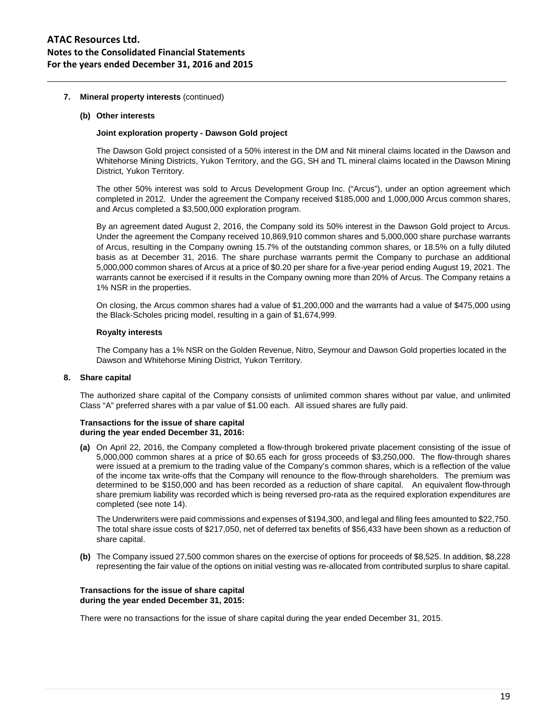#### **7. Mineral property interests** (continued)

#### **(b) Other interests**

#### **Joint exploration property - Dawson Gold project**

The Dawson Gold project consisted of a 50% interest in the DM and Nit mineral claims located in the Dawson and Whitehorse Mining Districts, Yukon Territory, and the GG, SH and TL mineral claims located in the Dawson Mining District, Yukon Territory.

The other 50% interest was sold to Arcus Development Group Inc. ("Arcus"), under an option agreement which completed in 2012. Under the agreement the Company received \$185,000 and 1,000,000 Arcus common shares, and Arcus completed a \$3,500,000 exploration program.

By an agreement dated August 2, 2016, the Company sold its 50% interest in the Dawson Gold project to Arcus. Under the agreement the Company received 10,869,910 common shares and 5,000,000 share purchase warrants of Arcus, resulting in the Company owning 15.7% of the outstanding common shares, or 18.5% on a fully diluted basis as at December 31, 2016. The share purchase warrants permit the Company to purchase an additional 5,000,000 common shares of Arcus at a price of \$0.20 per share for a five-year period ending August 19, 2021. The warrants cannot be exercised if it results in the Company owning more than 20% of Arcus. The Company retains a 1% NSR in the properties.

On closing, the Arcus common shares had a value of \$1,200,000 and the warrants had a value of \$475,000 using the Black-Scholes pricing model, resulting in a gain of \$1,674,999.

#### **Royalty interests**

The Company has a 1% NSR on the Golden Revenue, Nitro, Seymour and Dawson Gold properties located in the Dawson and Whitehorse Mining District, Yukon Territory.

#### **8. Share capital**

The authorized share capital of the Company consists of unlimited common shares without par value, and unlimited Class "A" preferred shares with a par value of \$1.00 each. All issued shares are fully paid.

#### **Transactions for the issue of share capital during the year ended December 31, 2016:**

**(a)** On April 22, 2016, the Company completed a flow-through brokered private placement consisting of the issue of 5,000,000 common shares at a price of \$0.65 each for gross proceeds of \$3,250,000. The flow-through shares were issued at a premium to the trading value of the Company's common shares, which is a reflection of the value of the income tax write-offs that the Company will renounce to the flow-through shareholders. The premium was determined to be \$150,000 and has been recorded as a reduction of share capital. An equivalent flow-through share premium liability was recorded which is being reversed pro-rata as the required exploration expenditures are completed (see note 14).

The Underwriters were paid commissions and expenses of \$194,300, and legal and filing fees amounted to \$22,750. The total share issue costs of \$217,050, net of deferred tax benefits of \$56,433 have been shown as a reduction of share capital.

**(b)** The Company issued 27,500 common shares on the exercise of options for proceeds of \$8,525. In addition, \$8,228 representing the fair value of the options on initial vesting was re-allocated from contributed surplus to share capital.

#### **Transactions for the issue of share capital during the year ended December 31, 2015:**

There were no transactions for the issue of share capital during the year ended December 31, 2015.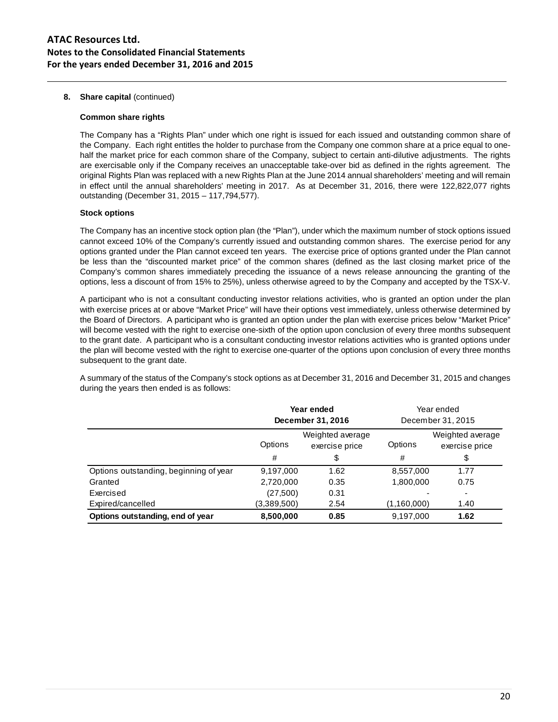**8. Share capital** (continued)

#### **Common share rights**

The Company has a "Rights Plan" under which one right is issued for each issued and outstanding common share of the Company. Each right entitles the holder to purchase from the Company one common share at a price equal to onehalf the market price for each common share of the Company, subject to certain anti-dilutive adjustments. The rights are exercisable only if the Company receives an unacceptable take-over bid as defined in the rights agreement. The original Rights Plan was replaced with a new Rights Plan at the June 2014 annual shareholders' meeting and will remain in effect until the annual shareholders' meeting in 2017. As at December 31, 2016, there were 122,822,077 rights outstanding (December 31, 2015 – 117,794,577).

## **Stock options**

The Company has an incentive stock option plan (the "Plan"), under which the maximum number of stock options issued cannot exceed 10% of the Company's currently issued and outstanding common shares. The exercise period for any options granted under the Plan cannot exceed ten years. The exercise price of options granted under the Plan cannot be less than the "discounted market price" of the common shares (defined as the last closing market price of the Company's common shares immediately preceding the issuance of a news release announcing the granting of the options, less a discount of from 15% to 25%), unless otherwise agreed to by the Company and accepted by the TSX-V.

A participant who is not a consultant conducting investor relations activities, who is granted an option under the plan with exercise prices at or above "Market Price" will have their options vest immediately, unless otherwise determined by the Board of Directors. A participant who is granted an option under the plan with exercise prices below "Market Price" will become vested with the right to exercise one-sixth of the option upon conclusion of every three months subsequent to the grant date. A participant who is a consultant conducting investor relations activities who is granted options under the plan will become vested with the right to exercise one-quarter of the options upon conclusion of every three months subsequent to the grant date.

A summary of the status of the Company's stock options as at December 31, 2016 and December 31, 2015 and changes during the years then ended is as follows:

|                                        | Year ended<br>December 31, 2016               |      |             | Year ended<br>December 31, 2015    |
|----------------------------------------|-----------------------------------------------|------|-------------|------------------------------------|
|                                        | Weighted average<br>Options<br>exercise price |      | Options     | Weighted average<br>exercise price |
|                                        | #                                             | \$   | #           | \$                                 |
| Options outstanding, beginning of year | 9,197,000                                     | 1.62 | 8,557,000   | 1.77                               |
| Granted                                | 2,720,000                                     | 0.35 | 1,800,000   | 0.75                               |
| Exercised                              | (27, 500)                                     | 0.31 |             | ۰                                  |
| Expired/cancelled                      | (3,389,500)                                   | 2.54 | (1,160,000) | 1.40                               |
| Options outstanding, end of year       | 8,500,000                                     | 0.85 | 9,197,000   | 1.62                               |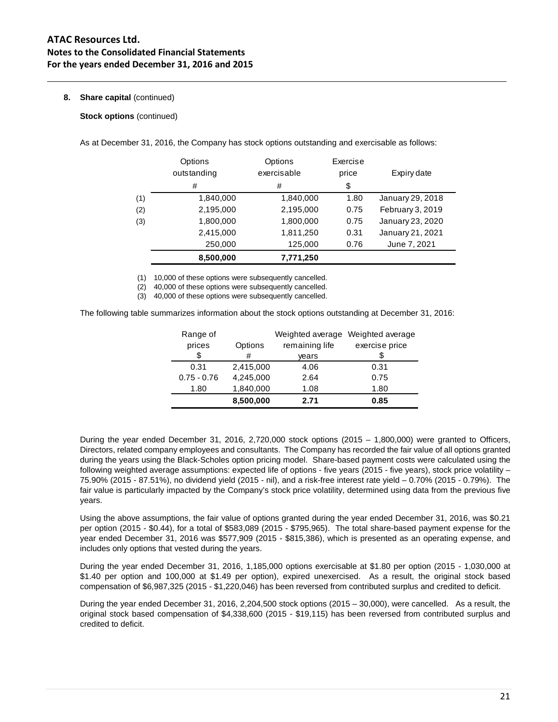## **8. Share capital** (continued)

**Stock options** (continued)

As at December 31, 2016, the Company has stock options outstanding and exercisable as follows:

|     | Options<br>outstanding | Options<br>exercisable | Exercise<br>price | Expiry date      |
|-----|------------------------|------------------------|-------------------|------------------|
|     | #                      | #                      | \$                |                  |
| (1) | 1,840,000              | 1,840,000              | 1.80              | January 29, 2018 |
| (2) | 2,195,000              | 2,195,000              | 0.75              | February 3, 2019 |
| (3) | 1,800,000              | 1,800,000              | 0.75              | January 23, 2020 |
|     | 2,415,000              | 1,811,250              | 0.31              | January 21, 2021 |
|     | 250,000                | 125,000                | 0.76              | June 7, 2021     |
|     | 8,500,000              | 7,771,250              |                   |                  |

(1) 10,000 of these options were subsequently cancelled.

(2) 40,000 of these options were subsequently cancelled.

(3) 40,000 of these options were subsequently cancelled.

The following table summarizes information about the stock options outstanding at December 31, 2016:

| Range of      |           | Weighted average | Weighted average |
|---------------|-----------|------------------|------------------|
| prices        | Options   | remaining life   | exercise price   |
| \$            | #         | years            | \$               |
| 0.31          | 2,415,000 | 4.06             | 0.31             |
| $0.75 - 0.76$ | 4,245,000 | 2.64             | 0.75             |
| 1.80          | 1,840,000 | 1.08             | 1.80             |
|               | 8,500,000 | 2.71             | 0.85             |

During the year ended December 31, 2016, 2,720,000 stock options (2015 – 1,800,000) were granted to Officers, Directors, related company employees and consultants. The Company has recorded the fair value of all options granted during the years using the Black-Scholes option pricing model. Share-based payment costs were calculated using the following weighted average assumptions: expected life of options - five years (2015 - five years), stock price volatility – 75.90% (2015 - 87.51%), no dividend yield (2015 - nil), and a risk-free interest rate yield – 0.70% (2015 - 0.79%). The fair value is particularly impacted by the Company's stock price volatility, determined using data from the previous five years.

Using the above assumptions, the fair value of options granted during the year ended December 31, 2016, was \$0.21 per option (2015 - \$0.44), for a total of \$583,089 (2015 - \$795,965). The total share-based payment expense for the year ended December 31, 2016 was \$577,909 (2015 - \$815,386), which is presented as an operating expense, and includes only options that vested during the years.

During the year ended December 31, 2016, 1,185,000 options exercisable at \$1.80 per option (2015 - 1,030,000 at \$1.40 per option and 100,000 at \$1.49 per option), expired unexercised. As a result, the original stock based compensation of \$6,987,325 (2015 - \$1,220,046) has been reversed from contributed surplus and credited to deficit.

During the year ended December 31, 2016, 2,204,500 stock options (2015 – 30,000), were cancelled. As a result, the original stock based compensation of \$4,338,600 (2015 - \$19,115) has been reversed from contributed surplus and credited to deficit.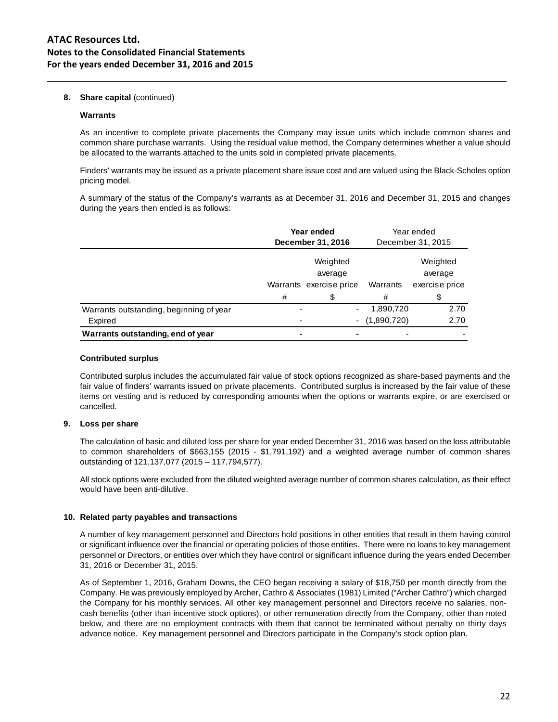## **8. Share capital** (continued)

#### **Warrants**

As an incentive to complete private placements the Company may issue units which include common shares and common share purchase warrants. Using the residual value method, the Company determines whether a value should be allocated to the warrants attached to the units sold in completed private placements.

Finders' warrants may be issued as a private placement share issue cost and are valued using the Black-Scholes option pricing model.

A summary of the status of the Company's warrants as at December 31, 2016 and December 31, 2015 and changes during the years then ended is as follows:

|                                         | Year ended<br>December 31, 2016 |                                                | Year ended  |                                       |
|-----------------------------------------|---------------------------------|------------------------------------------------|-------------|---------------------------------------|
|                                         |                                 |                                                |             | December 31, 2015                     |
|                                         |                                 | Weighted<br>average<br>Warrants exercise price | Warrants    | Weighted<br>average<br>exercise price |
|                                         | #                               | \$                                             | #           |                                       |
| Warrants outstanding, beginning of year |                                 | -                                              | 1,890,720   | 2.70                                  |
| Expired                                 |                                 | ۰                                              | (1,890,720) | 2.70                                  |
| Warrants outstanding, end of year       | $\blacksquare$                  |                                                |             |                                       |

#### **Contributed surplus**

Contributed surplus includes the accumulated fair value of stock options recognized as share-based payments and the fair value of finders' warrants issued on private placements. Contributed surplus is increased by the fair value of these items on vesting and is reduced by corresponding amounts when the options or warrants expire, or are exercised or cancelled.

## **9. Loss per share**

The calculation of basic and diluted loss per share for year ended December 31, 2016 was based on the loss attributable to common shareholders of \$663,155 (2015 - \$1,791,192) and a weighted average number of common shares outstanding of 121,137,077 (2015 – 117,794,577).

All stock options were excluded from the diluted weighted average number of common shares calculation, as their effect would have been anti-dilutive.

## **10. Related party payables and transactions**

A number of key management personnel and Directors hold positions in other entities that result in them having control or significant influence over the financial or operating policies of those entities. There were no loans to key management personnel or Directors, or entities over which they have control or significant influence during the years ended December 31, 2016 or December 31, 2015.

As of September 1, 2016, Graham Downs, the CEO began receiving a salary of \$18,750 per month directly from the Company. He was previously employed by Archer, Cathro & Associates (1981) Limited ("Archer Cathro") which charged the Company for his monthly services. All other key management personnel and Directors receive no salaries, noncash benefits (other than incentive stock options), or other remuneration directly from the Company, other than noted below, and there are no employment contracts with them that cannot be terminated without penalty on thirty days advance notice. Key management personnel and Directors participate in the Company's stock option plan.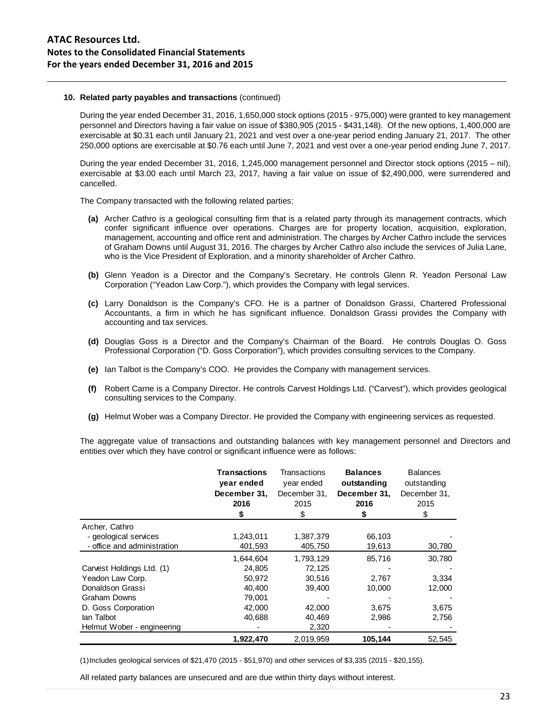#### **10. Related party payables and transactions** (continued)

During the year ended December 31, 2016, 1,650,000 stock options (2015 - 975,000) were granted to key management personnel and Directors having a fair value on issue of \$380,905 (2015 - \$431,148). Of the new options, 1,400,000 are exercisable at \$0.31 each until January 21, 2021 and vest over a one-year period ending January 21, 2017. The other 250,000 options are exercisable at \$0.76 each until June 7, 2021 and vest over a one-year period ending June 7, 2017.

During the year ended December 31, 2016, 1,245,000 management personnel and Director stock options (2015 – nil), exercisable at \$3.00 each until March 23, 2017, having a fair value on issue of \$2,490,000, were surrendered and cancelled.

The Company transacted with the following related parties:

- **(a)** Archer Cathro is a geological consulting firm that is a related party through its management contracts, which confer significant influence over operations. Charges are for property location, acquisition, exploration, management, accounting and office rent and administration. The charges by Archer Cathro include the services of Graham Downs until August 31, 2016. The charges by Archer Cathro also include the services of Julia Lane, who is the Vice President of Exploration, and a minority shareholder of Archer Cathro.
- **(b)** Glenn Yeadon is a Director and the Company's Secretary. He controls Glenn R. Yeadon Personal Law Corporation ("Yeadon Law Corp."), which provides the Company with legal services.
- **(c)** Larry Donaldson is the Company's CFO. He is a partner of Donaldson Grassi, Chartered Professional Accountants, a firm in which he has significant influence. Donaldson Grassi provides the Company with accounting and tax services.
- **(d)** Douglas Goss is a Director and the Company's Chairman of the Board. He controls Douglas O. Goss Professional Corporation ("D. Goss Corporation"), which provides consulting services to the Company.
- **(e)** Ian Talbot is the Company's COO. He provides the Company with management services.
- **(f)** Robert Carne is a Company Director. He controls Carvest Holdings Ltd. ("Carvest"), which provides geological consulting services to the Company.
- **(g)** Helmut Wober was a Company Director. He provided the Company with engineering services as requested.

The aggregate value of transactions and outstanding balances with key management personnel and Directors and entities over which they have control or significant influence were as follows:

|                             | <b>Transactions</b><br>year ended<br>December 31,<br>2016<br>\$ | Transactions<br>year ended<br>December 31.<br>2015<br>\$ | <b>Balances</b><br>outstanding<br>December 31,<br>2016<br>\$ | <b>Balances</b><br>outstanding<br>December 31,<br>2015<br>\$ |
|-----------------------------|-----------------------------------------------------------------|----------------------------------------------------------|--------------------------------------------------------------|--------------------------------------------------------------|
| Archer, Cathro              |                                                                 |                                                          |                                                              |                                                              |
| - geological services       | 1,243,011                                                       | 1,387,379                                                | 66,103                                                       |                                                              |
| - office and administration | 401,593                                                         | 405,750                                                  | 19,613                                                       | 30,780                                                       |
|                             | 1,644,604                                                       | 1,793,129                                                | 85,716                                                       | 30,780                                                       |
| Carvest Holdings Ltd. (1)   | 24.805                                                          | 72.125                                                   |                                                              |                                                              |
| Yeadon Law Corp.            | 50.972                                                          | 30.516                                                   | 2,767                                                        | 3,334                                                        |
| Donaldson Grassi            | 40.400                                                          | 39,400                                                   | 10,000                                                       | 12,000                                                       |
| <b>Graham Downs</b>         | 79,001                                                          |                                                          |                                                              |                                                              |
| D. Goss Corporation         | 42,000                                                          | 42,000                                                   | 3,675                                                        | 3,675                                                        |
| lan Talbot                  | 40,688                                                          | 40,469                                                   | 2,986                                                        | 2,756                                                        |
| Helmut Wober - engineering  |                                                                 | 2,320                                                    |                                                              |                                                              |
|                             | 1,922,470                                                       | 2.019.959                                                | 105,144                                                      | 52,545                                                       |

(1)Includes geological services of \$21,470 (2015 - \$51,970) and other services of \$3,335 (2015 - \$20,155).

All related party balances are unsecured and are due within thirty days without interest.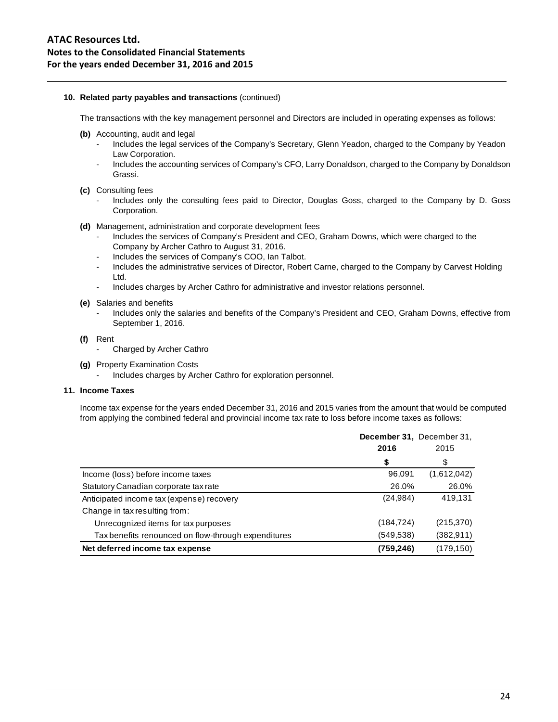## **10. Related party payables and transactions** (continued)

The transactions with the key management personnel and Directors are included in operating expenses as follows:

- **(b)** Accounting, audit and legal
	- Includes the legal services of the Company's Secretary, Glenn Yeadon, charged to the Company by Yeadon Law Corporation.
	- Includes the accounting services of Company's CFO, Larry Donaldson, charged to the Company by Donaldson Grassi.

#### **(c)** Consulting fees

- Includes only the consulting fees paid to Director, Douglas Goss, charged to the Company by D. Goss Corporation.
- **(d)** Management, administration and corporate development fees
	- Includes the services of Company's President and CEO, Graham Downs, which were charged to the Company by Archer Cathro to August 31, 2016.
	- Includes the services of Company's COO, Ian Talbot.
	- Includes the administrative services of Director, Robert Carne, charged to the Company by Carvest Holding Ltd.
	- Includes charges by Archer Cathro for administrative and investor relations personnel.
- **(e)** Salaries and benefits
	- Includes only the salaries and benefits of the Company's President and CEO, Graham Downs, effective from September 1, 2016.

#### **(f)** Rent

- Charged by Archer Cathro
- **(g)** Property Examination Costs
	- Includes charges by Archer Cathro for exploration personnel.

## **11. Income Taxes**

Income tax expense for the years ended December 31, 2016 and 2015 varies from the amount that would be computed from applying the combined federal and provincial income tax rate to loss before income taxes as follows:

|                                                     | December 31, December 31,<br>2016 | 2015        |
|-----------------------------------------------------|-----------------------------------|-------------|
|                                                     | \$                                | \$          |
| Income (loss) before income taxes                   | 96,091                            | (1,612,042) |
| Statutory Canadian corporate tax rate               | 26.0%                             | 26.0%       |
| Anticipated income tax (expense) recovery           | (24, 984)                         | 419.131     |
| Change in tax resulting from:                       |                                   |             |
| Unrecognized items for tax purposes                 | (184, 724)                        | (215, 370)  |
| Tax benefits renounced on flow-through expenditures | (549,538)                         | (382, 911)  |
| Net deferred income tax expense                     | (759,246)                         | (179,150)   |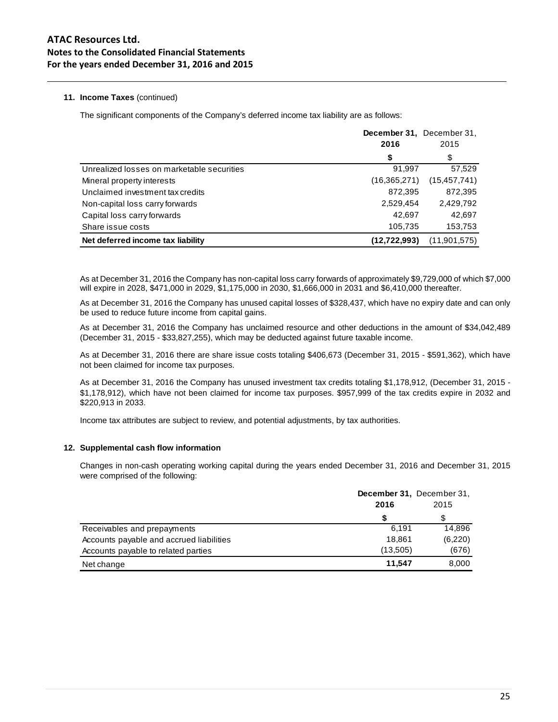# **11. Income Taxes** (continued)

The significant components of the Company's deferred income tax liability are as follows:

|                                            | December 31, December 31, |                |
|--------------------------------------------|---------------------------|----------------|
|                                            | 2016                      | 2015           |
|                                            | \$                        | \$             |
| Unrealized losses on marketable securities | 91.997                    | 57,529         |
| Mineral property interests                 | (16, 365, 271)            | (15, 457, 741) |
| Unclaimed investment tax credits           | 872,395                   | 872,395        |
| Non-capital loss carry forwards            | 2,529,454                 | 2,429,792      |
| Capital loss carry forwards                | 42.697                    | 42,697         |
| Share issue costs                          | 105,735                   | 153,753        |
| Net deferred income tax liability          | (12, 722, 993)            | (11, 901, 575) |

As at December 31, 2016 the Company has non-capital loss carry forwards of approximately \$9,729,000 of which \$7,000 will expire in 2028, \$471,000 in 2029, \$1,175,000 in 2030, \$1,666,000 in 2031 and \$6,410,000 thereafter.

As at December 31, 2016 the Company has unused capital losses of \$328,437, which have no expiry date and can only be used to reduce future income from capital gains.

As at December 31, 2016 the Company has unclaimed resource and other deductions in the amount of \$34,042,489 (December 31, 2015 - \$33,827,255), which may be deducted against future taxable income.

As at December 31, 2016 there are share issue costs totaling \$406,673 (December 31, 2015 - \$591,362), which have not been claimed for income tax purposes.

As at December 31, 2016 the Company has unused investment tax credits totaling \$1,178,912, (December 31, 2015 - \$1,178,912), which have not been claimed for income tax purposes. \$957,999 of the tax credits expire in 2032 and \$220,913 in 2033.

Income tax attributes are subject to review, and potential adjustments, by tax authorities.

## **12. Supplemental cash flow information**

Changes in non-cash operating working capital during the years ended December 31, 2016 and December 31, 2015 were comprised of the following:

|                                          | December 31, December 31, |         |  |
|------------------------------------------|---------------------------|---------|--|
|                                          | 2016                      | 2015    |  |
|                                          |                           |         |  |
| Receivables and prepayments              | 6.191                     | 14.896  |  |
| Accounts payable and accrued liabilities | 18.861                    | (6,220) |  |
| Accounts payable to related parties      | (13,505)                  | (676)   |  |
| Net change                               | 11.547                    | 8,000   |  |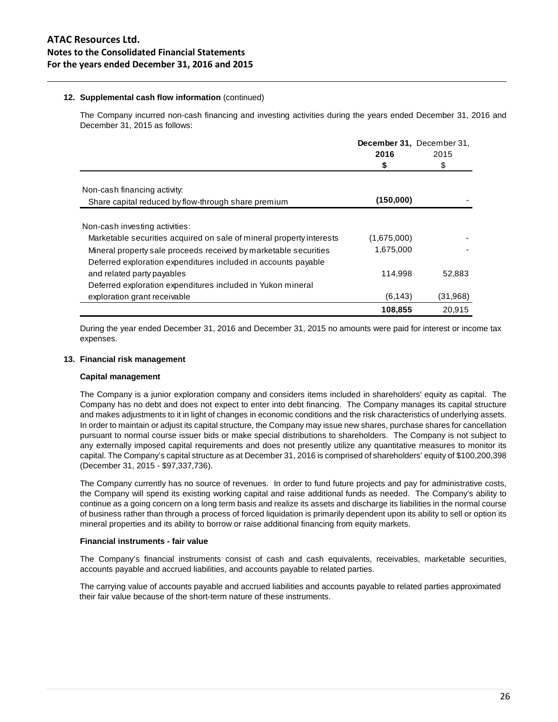## **12. Supplemental cash flow information** (continued)

The Company incurred non-cash financing and investing activities during the years ended December 31, 2016 and December 31, 2015 as follows:

|                                                                      | December 31, December 31, |          |
|----------------------------------------------------------------------|---------------------------|----------|
|                                                                      | 2016                      | 2015     |
|                                                                      | \$                        | \$       |
| Non-cash financing activity:                                         |                           |          |
| Share capital reduced by flow-through share premium                  | (150,000)                 |          |
| Non-cash investing activities:                                       |                           |          |
| Marketable securities acquired on sale of mineral property interests | (1,675,000)               |          |
| Mineral property sale proceeds received by marketable securities     | 1,675,000                 |          |
| Deferred exploration expenditures included in accounts payable       |                           |          |
| and related party payables                                           | 114,998                   | 52,883   |
| Deferred exploration expenditures included in Yukon mineral          |                           |          |
| exploration grant receivable                                         | (6, 143)                  | (31,968) |
|                                                                      | 108,855                   | 20.915   |

During the year ended December 31, 2016 and December 31, 2015 no amounts were paid for interest or income tax expenses.

## **13. Financial risk management**

## **Capital management**

The Company is a junior exploration company and considers items included in shareholders' equity as capital. The Company has no debt and does not expect to enter into debt financing. The Company manages its capital structure and makes adjustments to it in light of changes in economic conditions and the risk characteristics of underlying assets. In order to maintain or adjust its capital structure, the Company may issue new shares, purchase shares for cancellation pursuant to normal course issuer bids or make special distributions to shareholders. The Company is not subject to any externally imposed capital requirements and does not presently utilize any quantitative measures to monitor its capital. The Company's capital structure as at December 31, 2016 is comprised of shareholders' equity of \$100,200,398 (December 31, 2015 - \$97,337,736).

The Company currently has no source of revenues. In order to fund future projects and pay for administrative costs, the Company will spend its existing working capital and raise additional funds as needed. The Company's ability to continue as a going concern on a long term basis and realize its assets and discharge its liabilities in the normal course of business rather than through a process of forced liquidation is primarily dependent upon its ability to sell or option its mineral properties and its ability to borrow or raise additional financing from equity markets.

## **Financial instruments - fair value**

The Company's financial instruments consist of cash and cash equivalents, receivables, marketable securities, accounts payable and accrued liabilities, and accounts payable to related parties.

The carrying value of accounts payable and accrued liabilities and accounts payable to related parties approximated their fair value because of the short-term nature of these instruments.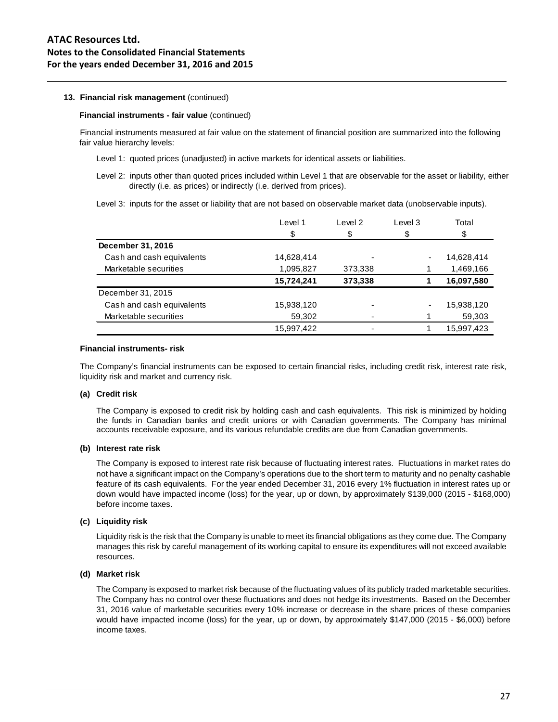#### **13. Financial risk management** (continued)

#### **Financial instruments - fair value** (continued)

Financial instruments measured at fair value on the statement of financial position are summarized into the following fair value hierarchy levels:

- Level 1: quoted prices (unadjusted) in active markets for identical assets or liabilities.
- Level 2: inputs other than quoted prices included within Level 1 that are observable for the asset or liability, either directly (i.e. as prices) or indirectly (i.e. derived from prices).
- Level 3: inputs for the asset or liability that are not based on observable market data (unobservable inputs).

|                           | Level 1    | Level 2 | Level 3 | Total      |
|---------------------------|------------|---------|---------|------------|
|                           | \$         | \$      | \$      | S          |
| December 31, 2016         |            |         |         |            |
| Cash and cash equivalents | 14,628,414 |         | ٠       | 14,628,414 |
| Marketable securities     | 1,095,827  | 373,338 |         | 1,469,166  |
|                           | 15,724,241 | 373,338 |         | 16,097,580 |
| December 31, 2015         |            |         |         |            |
| Cash and cash equivalents | 15,938,120 |         | ۰       | 15,938,120 |
| Marketable securities     | 59,302     |         |         | 59,303     |
|                           | 15,997,422 |         |         | 15,997,423 |

#### **Financial instruments- risk**

The Company's financial instruments can be exposed to certain financial risks, including credit risk, interest rate risk, liquidity risk and market and currency risk.

#### **(a) Credit risk**

The Company is exposed to credit risk by holding cash and cash equivalents. This risk is minimized by holding the funds in Canadian banks and credit unions or with Canadian governments. The Company has minimal accounts receivable exposure, and its various refundable credits are due from Canadian governments.

#### **(b) Interest rate risk**

The Company is exposed to interest rate risk because of fluctuating interest rates. Fluctuations in market rates do not have a significant impact on the Company's operations due to the short term to maturity and no penalty cashable feature of its cash equivalents. For the year ended December 31, 2016 every 1% fluctuation in interest rates up or down would have impacted income (loss) for the year, up or down, by approximately \$139,000 (2015 - \$168,000) before income taxes.

## **(c) Liquidity risk**

Liquidity risk is the risk that the Company is unable to meet its financial obligations as they come due. The Company manages this risk by careful management of its working capital to ensure its expenditures will not exceed available resources.

#### **(d) Market risk**

The Company is exposed to market risk because of the fluctuating values of its publicly traded marketable securities. The Company has no control over these fluctuations and does not hedge its investments. Based on the December 31, 2016 value of marketable securities every 10% increase or decrease in the share prices of these companies would have impacted income (loss) for the year, up or down, by approximately \$147,000 (2015 - \$6,000) before income taxes.